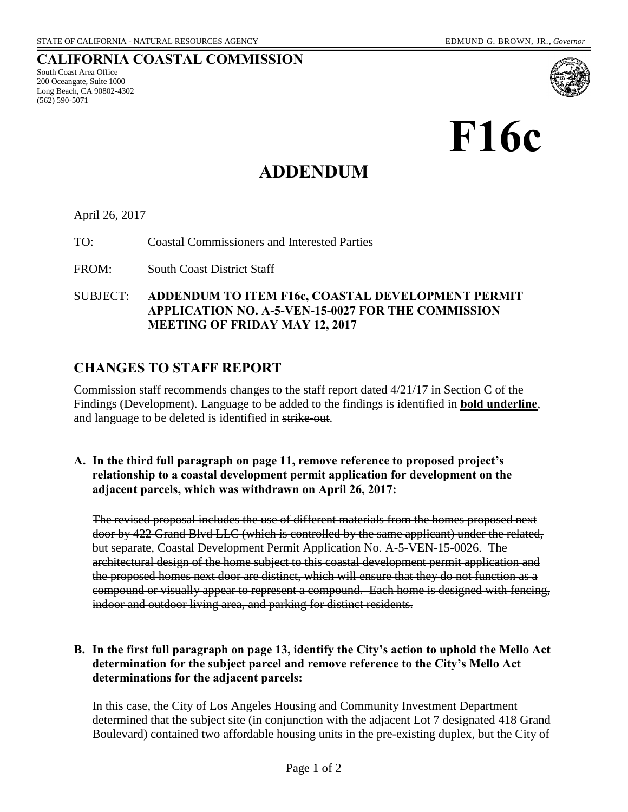**CALIFORNIA COASTAL COMMISSION** 

# **F16c**

# **ADDENDUM**

#### April 26, 2017

South Coast Area Office 200 Oceangate, Suite 1000 Long Beach, CA 90802-4302

(562) 590-5071

TO: Coastal Commissioners and Interested Parties

FROM: South Coast District Staff

SUBJECT: **ADDENDUM TO ITEM F16c, COASTAL DEVELOPMENT PERMIT APPLICATION NO. A-5-VEN-15-0027 FOR THE COMMISSION MEETING OF FRIDAY MAY 12, 2017** 

# **CHANGES TO STAFF REPORT**

Commission staff recommends changes to the staff report dated 4/21/17 in Section C of the Findings (Development). Language to be added to the findings is identified in **bold underline**, and language to be deleted is identified in strike-out.

### **A. In the third full paragraph on page 11, remove reference to proposed project's relationship to a coastal development permit application for development on the adjacent parcels, which was withdrawn on April 26, 2017:**

The revised proposal includes the use of different materials from the homes proposed next door by 422 Grand Blvd LLC (which is controlled by the same applicant) under the related, but separate, Coastal Development Permit Application No. A-5-VEN-15-0026. The architectural design of the home subject to this coastal development permit application and the proposed homes next door are distinct, which will ensure that they do not function as a compound or visually appear to represent a compound. Each home is designed with fencing, indoor and outdoor living area, and parking for distinct residents.

# **B. In the first full paragraph on page 13, identify the City's action to uphold the Mello Act determination for the subject parcel and remove reference to the City's Mello Act determinations for the adjacent parcels:**

In this case, the City of Los Angeles Housing and Community Investment Department determined that the subject site (in conjunction with the adjacent Lot 7 designated 418 Grand Boulevard) contained two affordable housing units in the pre-existing duplex, but the City of